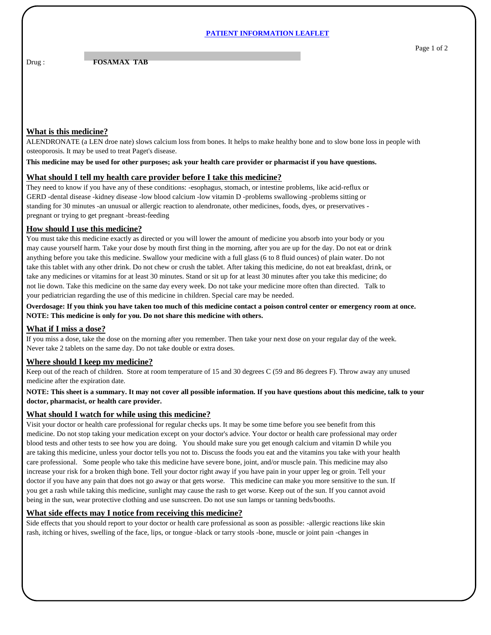### **PATIENT INFORMATION LEAFLET**

### Drug : **FOSAMAX TAB**

# **What is this medicine?**

ALENDRONATE (a LEN droe nate) slows calcium loss from bones. It helps to make healthy bone and to slow bone loss in people with osteoporosis. It may be used to treat Paget's disease.

**This medicine may be used for other purposes; ask your health care provider or pharmacist if you have questions.**

### **What should I tell my health care provider before I take this medicine?**

They need to know if you have any of these conditions: -esophagus, stomach, or intestine problems, like acid-reflux or GERD -dental disease -kidney disease -low blood calcium -low vitamin D -problems swallowing -problems sitting or standing for 30 minutes -an unusual or allergic reaction to alendronate, other medicines, foods, dyes, or preservatives pregnant or trying to get pregnant -breast-feeding

## **How should I use this medicine?**

You must take this medicine exactly as directed or you will lower the amount of medicine you absorb into your body or you may cause yourself harm. Take your dose by mouth first thing in the morning, after you are up for the day. Do not eat or drink anything before you take this medicine. Swallow your medicine with a full glass (6 to 8 fluid ounces) of plain water. Do not take this tablet with any other drink. Do not chew or crush the tablet. After taking this medicine, do not eat breakfast, drink, or take any medicines or vitamins for at least 30 minutes. Stand or sit up for at least 30 minutes after you take this medicine; do not lie down. Take this medicine on the same day every week. Do not take your medicine more often than directed. Talk to your pediatrician regarding the use of this medicine in children. Special care may be needed.

**Overdosage: If you think you have taken too much of this medicine contact a poison control center or emergency room at once. NOTE: This medicine is only for you. Do not share this medicine with others.**

#### **What if I miss a dose?**

If you miss a dose, take the dose on the morning after you remember. Then take your next dose on your regular day of the week. Never take 2 tablets on the same day. Do not take double or extra doses.

## **Where should I keep my medicine?**

Keep out of the reach of children. Store at room temperature of 15 and 30 degrees C (59 and 86 degrees F). Throw away any unused medicine after the expiration date.

#### **NOTE: This sheet is a summary. It may not cover all possible information. If you have questions about this medicine, talk to your doctor, pharmacist, or health care provider.**

#### **What should I watch for while using this medicine?**

Visit your doctor or health care professional for regular checks ups. It may be some time before you see benefit from this medicine. Do not stop taking your medication except on your doctor's advice. Your doctor or health care professional may order blood tests and other tests to see how you are doing. You should make sure you get enough calcium and vitamin D while you are taking this medicine, unless your doctor tells you not to. Discuss the foods you eat and the vitamins you take with your health care professional. Some people who take this medicine have severe bone, joint, and/or muscle pain. This medicine may also increase your risk for a broken thigh bone. Tell your doctor right away if you have pain in your upper leg or groin. Tell your doctor if you have any pain that does not go away or that gets worse. This medicine can make you more sensitive to the sun. If you get a rash while taking this medicine, sunlight may cause the rash to get worse. Keep out of the sun. If you cannot avoid being in the sun, wear protective clothing and use sunscreen. Do not use sun lamps or tanning beds/booths.

#### **What side effects may I notice from receiving this medicine?**

Side effects that you should report to your doctor or health care professional as soon as possible: -allergic reactions like skin rash, itching or hives, swelling of the face, lips, or tongue -black or tarry stools -bone, muscle or joint pain -changes in